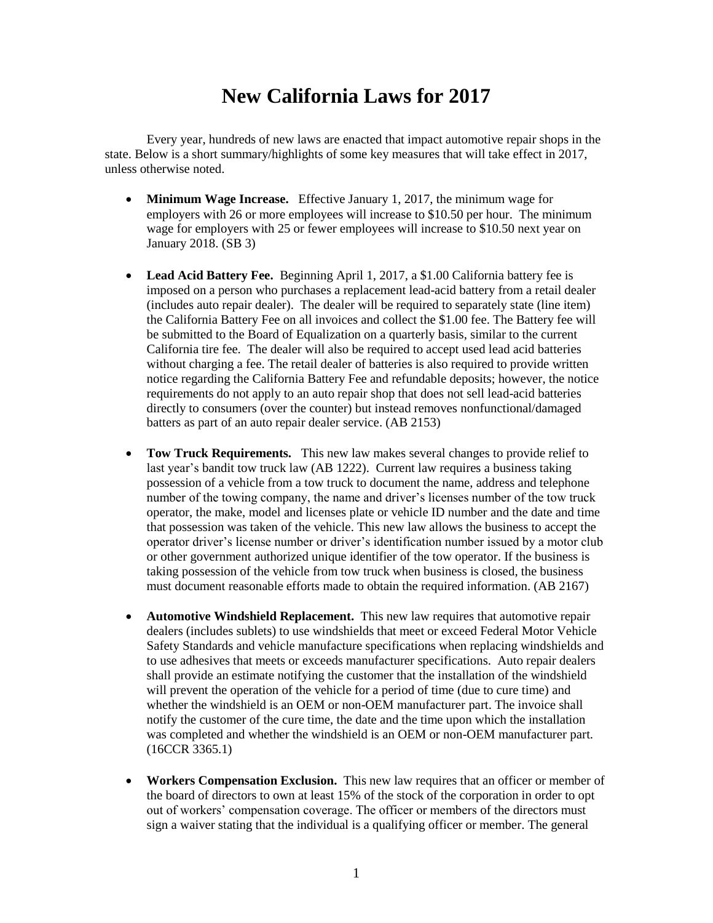## **New California Laws for 2017**

Every year, hundreds of new laws are enacted that impact automotive repair shops in the state. Below is a short summary/highlights of some key measures that will take effect in 2017, unless otherwise noted.

- **Minimum Wage Increase.** Effective January 1, 2017, the minimum wage for employers with 26 or more employees will increase to \$10.50 per hour. The minimum wage for employers with 25 or fewer employees will increase to \$10.50 next year on January 2018. (SB 3)
- **Lead Acid Battery Fee.** Beginning April 1, 2017, a \$1.00 California battery fee is imposed on a person who purchases a replacement lead-acid battery from a retail dealer (includes auto repair dealer). The dealer will be required to separately state (line item) the California Battery Fee on all invoices and collect the \$1.00 fee. The Battery fee will be submitted to the Board of Equalization on a quarterly basis, similar to the current California tire fee. The dealer will also be required to accept used lead acid batteries without charging a fee. The retail dealer of batteries is also required to provide written notice regarding the California Battery Fee and refundable deposits; however, the notice requirements do not apply to an auto repair shop that does not sell lead-acid batteries directly to consumers (over the counter) but instead removes nonfunctional/damaged batters as part of an auto repair dealer service. (AB 2153)
- **Tow Truck Requirements.** This new law makes several changes to provide relief to last year's bandit tow truck law (AB 1222). Current law requires a business taking possession of a vehicle from a tow truck to document the name, address and telephone number of the towing company, the name and driver's licenses number of the tow truck operator, the make, model and licenses plate or vehicle ID number and the date and time that possession was taken of the vehicle. This new law allows the business to accept the operator driver's license number or driver's identification number issued by a motor club or other government authorized unique identifier of the tow operator. If the business is taking possession of the vehicle from tow truck when business is closed, the business must document reasonable efforts made to obtain the required information. (AB 2167)
- **Automotive Windshield Replacement.** This new law requires that automotive repair dealers (includes sublets) to use windshields that meet or exceed Federal Motor Vehicle Safety Standards and vehicle manufacture specifications when replacing windshields and to use adhesives that meets or exceeds manufacturer specifications. Auto repair dealers shall provide an estimate notifying the customer that the installation of the windshield will prevent the operation of the vehicle for a period of time (due to cure time) and whether the windshield is an OEM or non-OEM manufacturer part. The invoice shall notify the customer of the cure time, the date and the time upon which the installation was completed and whether the windshield is an OEM or non-OEM manufacturer part. (16CCR 3365.1)
- **Workers Compensation Exclusion.** This new law requires that an officer or member of the board of directors to own at least 15% of the stock of the corporation in order to opt out of workers' compensation coverage. The officer or members of the directors must sign a waiver stating that the individual is a qualifying officer or member. The general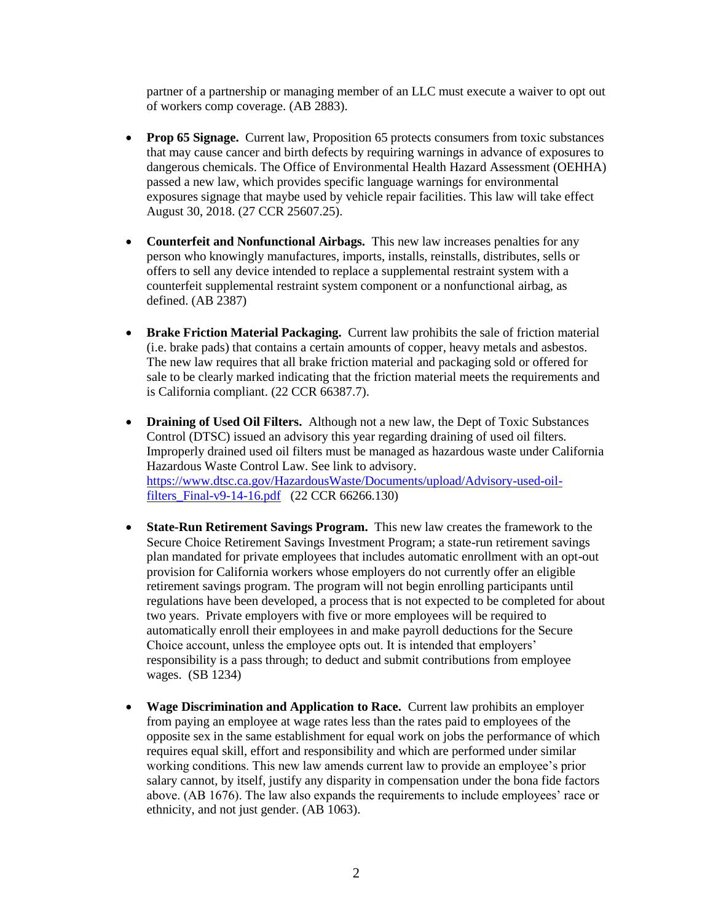partner of a partnership or managing member of an LLC must execute a waiver to opt out of workers comp coverage. (AB 2883).

- **Prop 65 Signage.** Current law, Proposition 65 protects consumers from toxic substances that may cause cancer and birth defects by requiring warnings in advance of exposures to dangerous chemicals. The Office of Environmental Health Hazard Assessment (OEHHA) passed a new law, which provides specific language warnings for environmental exposures signage that maybe used by vehicle repair facilities. This law will take effect August 30, 2018. (27 CCR 25607.25).
- **Counterfeit and Nonfunctional Airbags.** This new law increases penalties for any person who knowingly manufactures, imports, installs, reinstalls, distributes, sells or offers to sell any device intended to replace a supplemental restraint system with a counterfeit supplemental restraint system component or a nonfunctional airbag, as defined. (AB 2387)
- **Brake Friction Material Packaging.** Current law prohibits the sale of friction material (i.e. brake pads) that contains a certain amounts of copper, heavy metals and asbestos. The new law requires that all brake friction material and packaging sold or offered for sale to be clearly marked indicating that the friction material meets the requirements and is California compliant. (22 CCR 66387.7).
- **Draining of Used Oil Filters.** Although not a new law, the Dept of Toxic Substances Control (DTSC) issued an advisory this year regarding draining of used oil filters. Improperly drained used oil filters must be managed as hazardous waste under California Hazardous Waste Control Law. See link to advisory. [https://www.dtsc.ca.gov/HazardousWaste/Documents/upload/Advisory-used-oil](https://www.dtsc.ca.gov/HazardousWaste/Documents/upload/Advisory-used-oil-filters_Final-v9-14-16.pdf)[filters\\_Final-v9-14-16.pdf](https://www.dtsc.ca.gov/HazardousWaste/Documents/upload/Advisory-used-oil-filters_Final-v9-14-16.pdf) (22 CCR 66266.130)
- **State-Run Retirement Savings Program.** This new law creates the framework to the Secure Choice Retirement Savings Investment Program; a state-run retirement savings plan mandated for private employees that includes automatic enrollment with an opt-out provision for California workers whose employers do not currently offer an eligible retirement savings program. The program will not begin enrolling participants until regulations have been developed, a process that is not expected to be completed for about two years. Private employers with five or more employees will be required to automatically enroll their employees in and make payroll deductions for the Secure Choice account, unless the employee opts out. It is intended that employers' responsibility is a pass through; to deduct and submit contributions from employee wages. (SB 1234)
- **Wage Discrimination and Application to Race.** Current law prohibits an employer from paying an employee at wage rates less than the rates paid to employees of the opposite sex in the same establishment for equal work on jobs the performance of which requires equal skill, effort and responsibility and which are performed under similar working conditions. This new law amends current law to provide an employee's prior salary cannot, by itself, justify any disparity in compensation under the bona fide factors above. (AB 1676). The law also expands the requirements to include employees' race or ethnicity, and not just gender. (AB 1063).